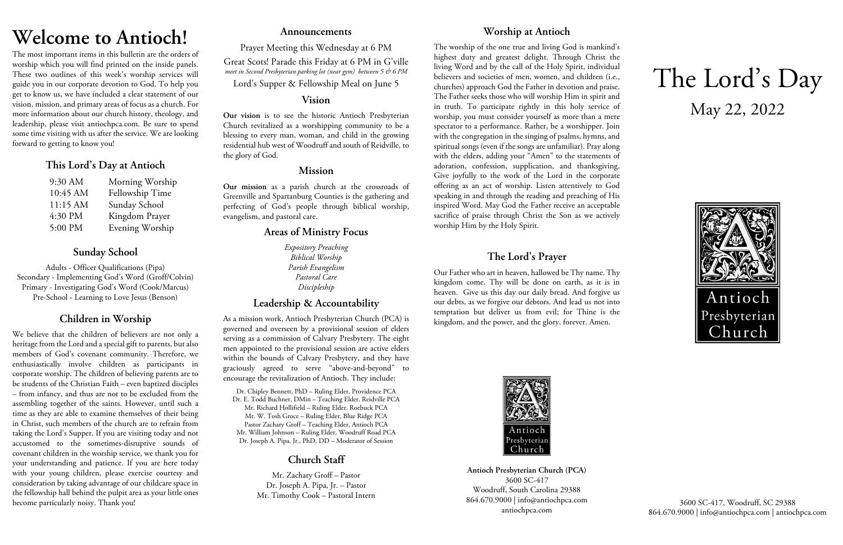## **Welcome to Antioch!**

The most important items in this bulletin are the orders of worship which you will find printed on the inside panels. These two outlines of this week's worship services will guide you in our corporate devotion to God. To help you get to know us, we have included a clear statement of our vision, mission, and primary areas of focus as a church. For more information about our church history, theology, and leadership, please visit antiochpca.com. Be sure to spend some time visiting with us after the service. We are looking forward to getting to know you!

## **This Lord's Day at Antioch**

| $9:30$ AM | Morning Worship |
|-----------|-----------------|
| 10:45 AM  | Fellowship Time |
| 11:15 AM  | Sunday School   |
| 4:30 PM   | Kingdom Prayer  |
| 5:00 PM   | Evening Worship |

## **Sunday School**

Adults - Officer Qualifications (Pipa) Secondary - Implementing God's Word (Groff/Colvin) Primary - Investigating God's Word (Cook/Marcus) Pre-School - Learning to Love Jesus (Benson)

## **Children in Worship**

We believe that the children of believers are not only a heritage from the Lord and a special gift to parents, but also members of God's covenant community. Therefore, we enthusiastically involve children as participants in corporate worship. The children of believing parents are to be students of the Christian Faith – even baptized disciples – from infancy, and thus are not to be excluded from the assembling together of the saints. However, until such a time as they are able to examine themselves of their being in Christ, such members of the church are to refrain from taking the Lord's Supper. If you are visiting today and not accustomed to the sometimes-disruptive sounds of covenant children in the worship service, we thank you for your understanding and patience. If you are here today with your young children, please exercise courtesy and consideration by taking advantage of our childcare space in the fellowship hall behind the pulpit area as your little ones become particularly noisy. Thank you!

### **Announcements**

Prayer Meeting this Wednesday at 6 PM Great Scots! Parade this Friday at 6 PM in G'ville *meet in Second Presbyterian parking lot (near gym) between 5 & 6 PM*

Lord's Supper & Fellowship Meal on June 5

### **Vision**

**Our vision** is to see the historic Antioch Presbyterian Church revitalized as a worshipping community to be a blessing to every man, woman, and child in the growing residential hub west of Woodruff and south of Reidville, to the glory of God.

## **Mission**

**Our mission** as a parish church at the crossroads of Greenville and Spartanburg Counties is the gathering and perfecting of God's people through biblical worship, evangelism, and pastoral care.

## **Areas of Ministry Focus**

*Expository Preaching Biblical Worship Parish Evangelism Pastoral Care Discipleship*

## **Leadership & Accountability**

As a mission work, Antioch Presbyterian Church (PCA) is governed and overseen by a provisional session of elders serving as a commission of Calvary Presbytery. The eight men appointed to the provisional session are active elders within the bounds of Calvary Presbytery, and they have graciously agreed to serve "above-and-beyond" to encourage the revitalization of Antioch. They include:

Dr. Chipley Bennett, PhD – Ruling Elder, Providence PCA Dr. E. Todd Buchner, DMin – Teaching Elder, Reidville PCA Mr. Richard Hollifield – Ruling Elder, Roebuck PCA Mr. W. Tosh Groce – Ruling Elder, Blue Ridge PCA Pastor Zachary Groff – Teaching Elder, Antioch PCA Mr. William Johnson – Ruling Elder, Woodruff Road PCA Dr. Joseph A. Pipa, Jr., PhD, DD – Moderator of Session

## **Church Staff**

Mr. Zachary Groff – Pastor Dr. Joseph A. Pipa, Jr. – Pastor Mr. Timothy Cook – Pastoral Intern

## **Worship at Antioch**

The worship of the one true and living God is mankind's highest duty and greatest delight. Through Christ the living Word and by the call of the Holy Spirit, individual believers and societies of men, women, and children (i.e., churches) approach God the Father in devotion and praise. The Father seeks those who will worship Him in spirit and in truth. To participate rightly in this holy service of worship, you must consider yourself as more than a mere spectator to a performance. Rather, be a worshipper. Join with the congregation in the singing of psalms, hymns, and spiritual songs (even if the songs are unfamiliar). Pray along with the elders, adding your "Amen" to the statements of adoration, confession, supplication, and thanksgiving. Give joyfully to the work of the Lord in the corporate offering as an act of worship. Listen attentively to God speaking in and through the reading and preaching of His inspired Word. May God the Father receive an acceptable sacrifice of praise through Christ the Son as we actively worship Him by the Holy Spirit.

## **The Lord's Prayer**

Our Father who art in heaven, hallowed be Thy name. Thy kingdom come. Thy will be done on earth, as it is in heaven. Give us this day our daily bread. And forgive us our debts, as we forgive our debtors. And lead us not into temptation but deliver us from evil; for Thine is the kingdom, and the power, and the glory, forever. Amen.



**Antioch Presbyterian Church (PCA)** 3600 SC-417 Woodruff, South Carolina 29388 864.670.9000 | info@antiochpca.com antiochpca.com

# The Lord's Day May 22, 2022



3600 SC-417, Woodruff, SC 29388 864.670.9000 | info@antiochpca.com | antiochpca.com